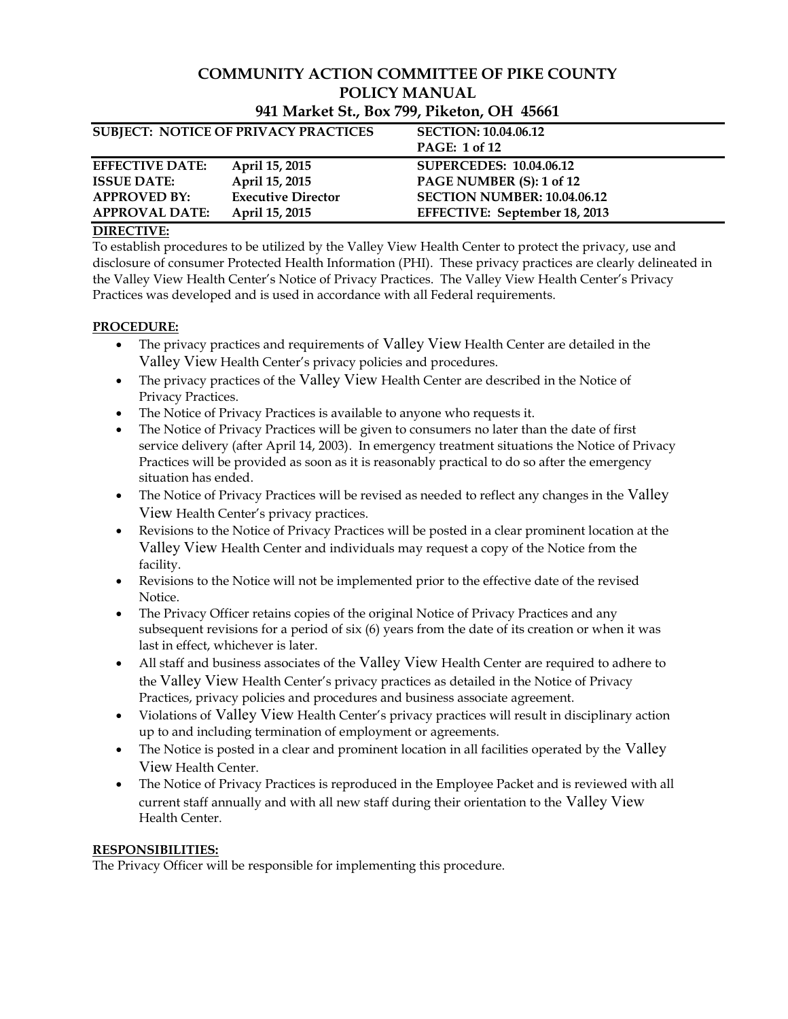### **COMMUNITY ACTION COMMITTEE OF PIKE COUNTY POLICY MANUAL 941 Market St., Box 799, Piketon, OH 45661**

| <b>SUBJECT: NOTICE OF PRIVACY PRACTICES</b> |                           | <b>SECTION: 10.04.06.12</b>        |  |  |  |
|---------------------------------------------|---------------------------|------------------------------------|--|--|--|
|                                             |                           | <b>PAGE: 1 of 12</b>               |  |  |  |
| <b>EFFECTIVE DATE:</b>                      | April 15, 2015            | <b>SUPERCEDES: 10.04.06.12</b>     |  |  |  |
| <b>ISSUE DATE:</b>                          | April 15, 2015            | PAGE NUMBER (S): 1 of 12           |  |  |  |
| <b>APPROVED BY:</b>                         | <b>Executive Director</b> | <b>SECTION NUMBER: 10.04.06.12</b> |  |  |  |
| <b>APPROVAL DATE:</b>                       | April 15, 2015            | EFFECTIVE: September 18, 2013      |  |  |  |

### **DIRECTIVE:**

To establish procedures to be utilized by the Valley View Health Center to protect the privacy, use and disclosure of consumer Protected Health Information (PHI). These privacy practices are clearly delineated in the Valley View Health Center's Notice of Privacy Practices. The Valley View Health Center's Privacy Practices was developed and is used in accordance with all Federal requirements.

### **PROCEDURE:**

- The privacy practices and requirements of Valley View Health Center are detailed in the Valley View Health Center's privacy policies and procedures.
- The privacy practices of the Valley View Health Center are described in the Notice of Privacy Practices.
- The Notice of Privacy Practices is available to anyone who requests it.
- The Notice of Privacy Practices will be given to consumers no later than the date of first service delivery (after April 14, 2003). In emergency treatment situations the Notice of Privacy Practices will be provided as soon as it is reasonably practical to do so after the emergency situation has ended.
- The Notice of Privacy Practices will be revised as needed to reflect any changes in the Valley View Health Center's privacy practices.
- Revisions to the Notice of Privacy Practices will be posted in a clear prominent location at the Valley View Health Center and individuals may request a copy of the Notice from the facility.
- Revisions to the Notice will not be implemented prior to the effective date of the revised Notice.
- The Privacy Officer retains copies of the original Notice of Privacy Practices and any subsequent revisions for a period of six (6) years from the date of its creation or when it was last in effect, whichever is later.
- All staff and business associates of the Valley View Health Center are required to adhere to the Valley View Health Center's privacy practices as detailed in the Notice of Privacy Practices, privacy policies and procedures and business associate agreement.
- Violations of Valley View Health Center's privacy practices will result in disciplinary action up to and including termination of employment or agreements.
- The Notice is posted in a clear and prominent location in all facilities operated by the Valley View Health Center.
- The Notice of Privacy Practices is reproduced in the Employee Packet and is reviewed with all current staff annually and with all new staff during their orientation to the Valley View Health Center.

### **RESPONSIBILITIES:**

The Privacy Officer will be responsible for implementing this procedure.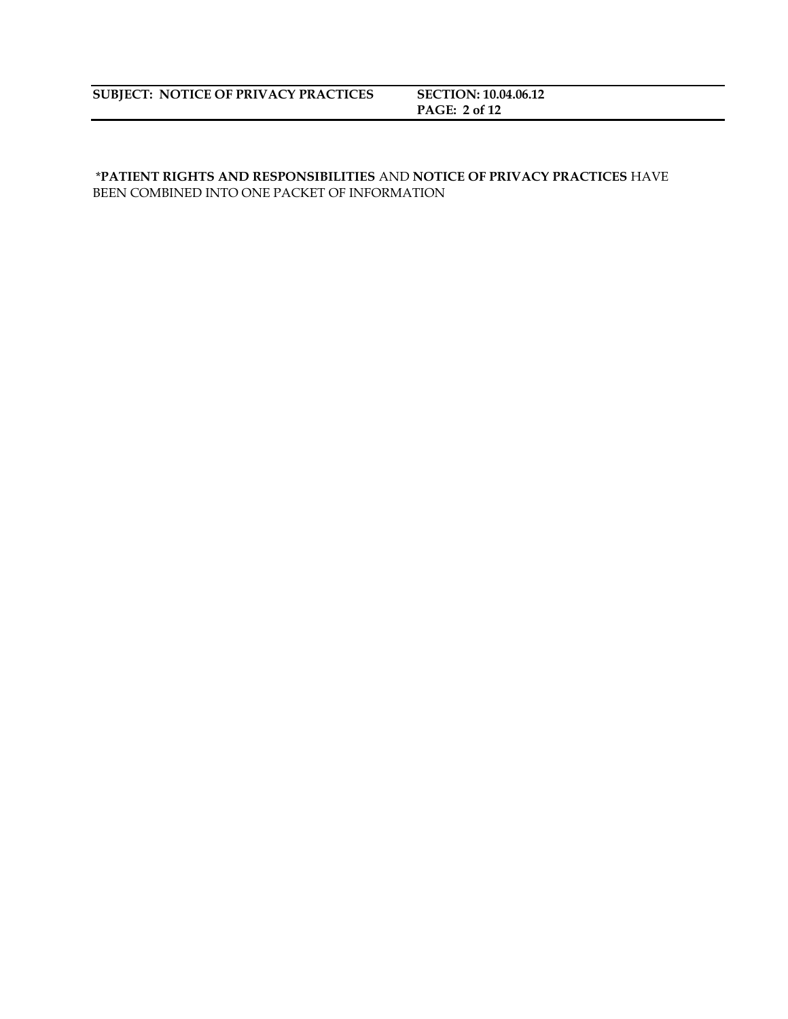**PAGE: 2 of 12**

### \***PATIENT RIGHTS AND RESPONSIBILITIES** AND **NOTICE OF PRIVACY PRACTICES** HAVE BEEN COMBINED INTO ONE PACKET OF INFORMATION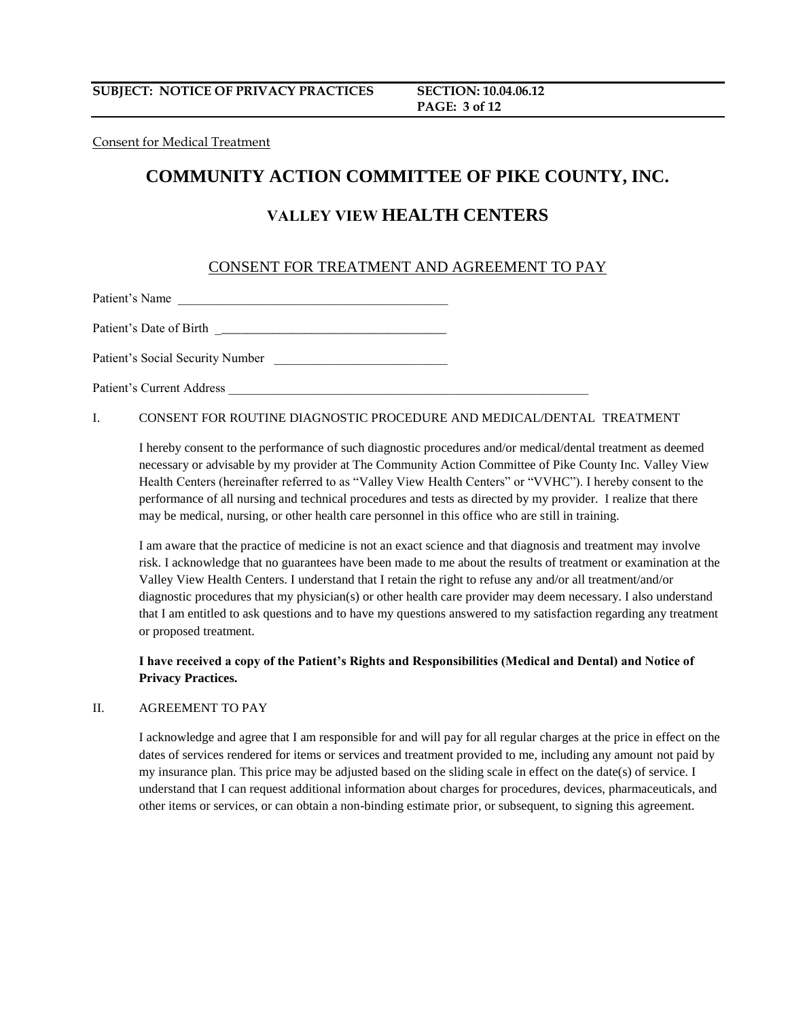**PAGE: 3 of 12**

Consent for Medical Treatment

### **COMMUNITY ACTION COMMITTEE OF PIKE COUNTY, INC.**

### **VALLEY VIEW HEALTH CENTERS**

### CONSENT FOR TREATMENT AND AGREEMENT TO PAY

Patient's Name

Patient's Date of Birth \_\_\_\_\_\_\_\_\_\_\_\_\_\_\_\_\_\_\_\_\_\_\_\_\_\_\_\_\_\_\_\_\_\_\_\_

Patient's Social Security Number

Patient's Current Address

### I. CONSENT FOR ROUTINE DIAGNOSTIC PROCEDURE AND MEDICAL/DENTAL TREATMENT

I hereby consent to the performance of such diagnostic procedures and/or medical/dental treatment as deemed necessary or advisable by my provider at The Community Action Committee of Pike County Inc. Valley View Health Centers (hereinafter referred to as "Valley View Health Centers" or "VVHC"). I hereby consent to the performance of all nursing and technical procedures and tests as directed by my provider. I realize that there may be medical, nursing, or other health care personnel in this office who are still in training.

I am aware that the practice of medicine is not an exact science and that diagnosis and treatment may involve risk. I acknowledge that no guarantees have been made to me about the results of treatment or examination at the Valley View Health Centers. I understand that I retain the right to refuse any and/or all treatment/and/or diagnostic procedures that my physician(s) or other health care provider may deem necessary. I also understand that I am entitled to ask questions and to have my questions answered to my satisfaction regarding any treatment or proposed treatment.

### **I have received a copy of the Patient's Rights and Responsibilities (Medical and Dental) and Notice of Privacy Practices.**

### II. AGREEMENT TO PAY

I acknowledge and agree that I am responsible for and will pay for all regular charges at the price in effect on the dates of services rendered for items or services and treatment provided to me, including any amount not paid by my insurance plan. This price may be adjusted based on the sliding scale in effect on the date(s) of service. I understand that I can request additional information about charges for procedures, devices, pharmaceuticals, and other items or services, or can obtain a non-binding estimate prior, or subsequent, to signing this agreement.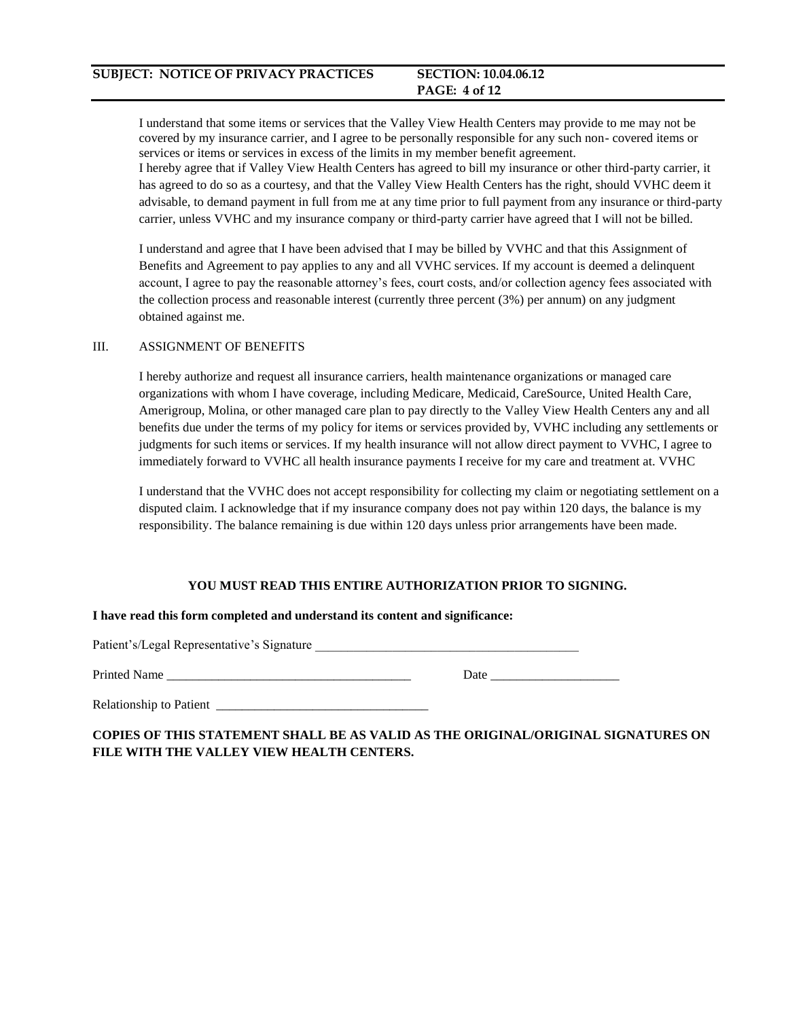**PAGE: 4 of 12**

I understand that some items or services that the Valley View Health Centers may provide to me may not be covered by my insurance carrier, and I agree to be personally responsible for any such non- covered items or services or items or services in excess of the limits in my member benefit agreement.

I hereby agree that if Valley View Health Centers has agreed to bill my insurance or other third-party carrier, it has agreed to do so as a courtesy, and that the Valley View Health Centers has the right, should VVHC deem it advisable, to demand payment in full from me at any time prior to full payment from any insurance or third-party carrier, unless VVHC and my insurance company or third-party carrier have agreed that I will not be billed.

I understand and agree that I have been advised that I may be billed by VVHC and that this Assignment of Benefits and Agreement to pay applies to any and all VVHC services. If my account is deemed a delinquent account, I agree to pay the reasonable attorney's fees, court costs, and/or collection agency fees associated with the collection process and reasonable interest (currently three percent (3%) per annum) on any judgment obtained against me.

### III. ASSIGNMENT OF BENEFITS

I hereby authorize and request all insurance carriers, health maintenance organizations or managed care organizations with whom I have coverage, including Medicare, Medicaid, CareSource, United Health Care, Amerigroup, Molina, or other managed care plan to pay directly to the Valley View Health Centers any and all benefits due under the terms of my policy for items or services provided by, VVHC including any settlements or judgments for such items or services. If my health insurance will not allow direct payment to VVHC, I agree to immediately forward to VVHC all health insurance payments I receive for my care and treatment at. VVHC

I understand that the VVHC does not accept responsibility for collecting my claim or negotiating settlement on a disputed claim. I acknowledge that if my insurance company does not pay within 120 days, the balance is my responsibility. The balance remaining is due within 120 days unless prior arrangements have been made.

### **YOU MUST READ THIS ENTIRE AUTHORIZATION PRIOR TO SIGNING.**

### **I have read this form completed and understand its content and significance:**

Patient's/Legal Representative's Signature

Printed Name \_\_\_\_\_\_\_\_\_\_\_\_\_\_\_\_\_\_\_\_\_\_\_\_\_\_\_\_\_\_\_\_\_\_\_\_\_\_ Date \_\_\_\_\_\_\_\_\_\_\_\_\_\_\_\_\_\_\_\_

Relationship to Patient \_\_\_\_\_\_\_\_\_\_\_\_\_\_\_\_\_\_\_\_\_\_\_\_\_\_\_\_\_\_\_\_\_

**COPIES OF THIS STATEMENT SHALL BE AS VALID AS THE ORIGINAL/ORIGINAL SIGNATURES ON FILE WITH THE VALLEY VIEW HEALTH CENTERS.**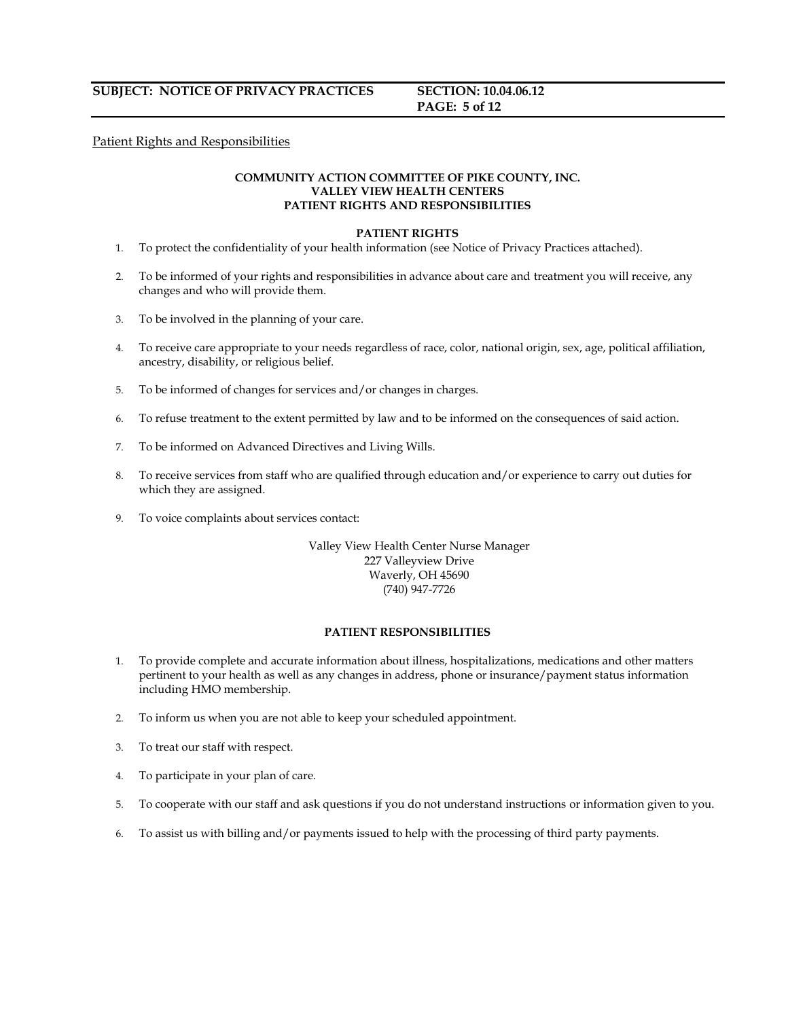# **PAGE: 5 of 12**

#### Patient Rights and Responsibilities

#### **COMMUNITY ACTION COMMITTEE OF PIKE COUNTY, INC. VALLEY VIEW HEALTH CENTERS PATIENT RIGHTS AND RESPONSIBILITIES**

#### **PATIENT RIGHTS**

- 1. To protect the confidentiality of your health information (see Notice of Privacy Practices attached).
- 2. To be informed of your rights and responsibilities in advance about care and treatment you will receive, any changes and who will provide them.
- 3. To be involved in the planning of your care.
- 4. To receive care appropriate to your needs regardless of race, color, national origin, sex, age, political affiliation, ancestry, disability, or religious belief.
- 5. To be informed of changes for services and/or changes in charges.
- 6. To refuse treatment to the extent permitted by law and to be informed on the consequences of said action.
- 7. To be informed on Advanced Directives and Living Wills.
- 8. To receive services from staff who are qualified through education and/or experience to carry out duties for which they are assigned.
- 9. To voice complaints about services contact:

Valley View Health Center Nurse Manager 227 Valleyview Drive Waverly, OH 45690 (740) 947-7726

#### **PATIENT RESPONSIBILITIES**

- 1. To provide complete and accurate information about illness, hospitalizations, medications and other matters pertinent to your health as well as any changes in address, phone or insurance/payment status information including HMO membership.
- 2. To inform us when you are not able to keep your scheduled appointment.
- 3. To treat our staff with respect.
- 4. To participate in your plan of care.
- 5. To cooperate with our staff and ask questions if you do not understand instructions or information given to you.
- 6. To assist us with billing and/or payments issued to help with the processing of third party payments.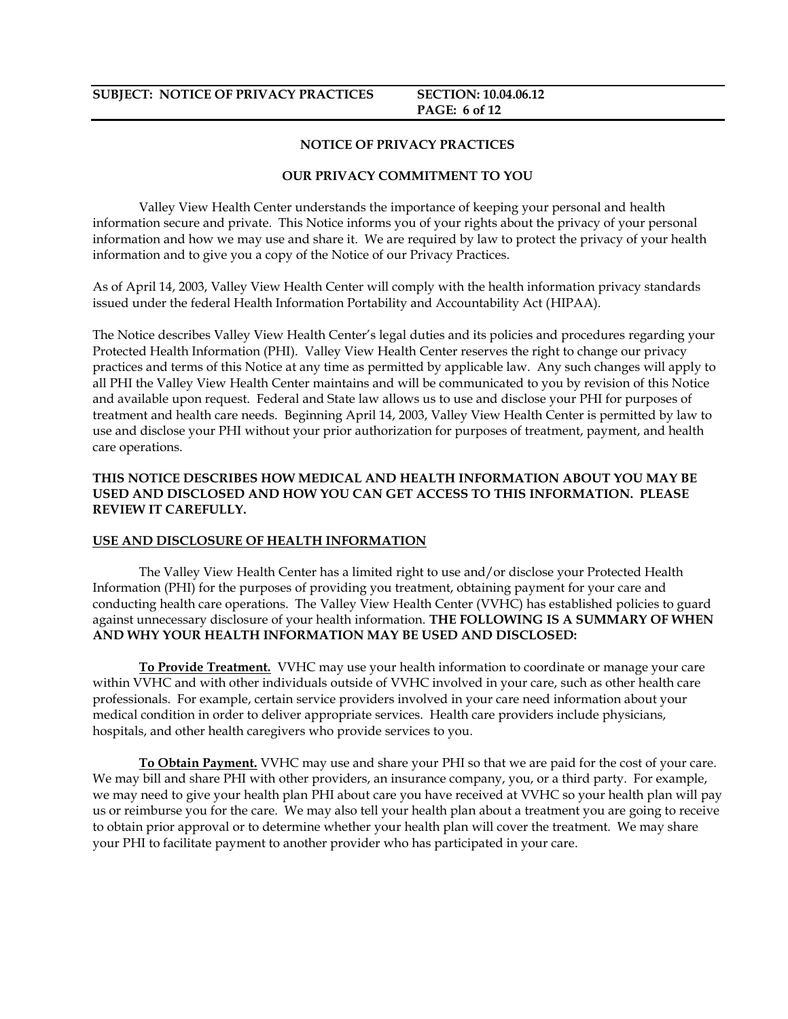# **PAGE: 6 of 12**

### **NOTICE OF PRIVACY PRACTICES**

### **OUR PRIVACY COMMITMENT TO YOU**

Valley View Health Center understands the importance of keeping your personal and health information secure and private. This Notice informs you of your rights about the privacy of your personal information and how we may use and share it. We are required by law to protect the privacy of your health information and to give you a copy of the Notice of our Privacy Practices.

As of April 14, 2003, Valley View Health Center will comply with the health information privacy standards issued under the federal Health Information Portability and Accountability Act (HIPAA).

The Notice describes Valley View Health Center's legal duties and its policies and procedures regarding your Protected Health Information (PHI). Valley View Health Center reserves the right to change our privacy practices and terms of this Notice at any time as permitted by applicable law. Any such changes will apply to all PHI the Valley View Health Center maintains and will be communicated to you by revision of this Notice and available upon request. Federal and State law allows us to use and disclose your PHI for purposes of treatment and health care needs. Beginning April 14, 2003, Valley View Health Center is permitted by law to use and disclose your PHI without your prior authorization for purposes of treatment, payment, and health care operations.

### **THIS NOTICE DESCRIBES HOW MEDICAL AND HEALTH INFORMATION ABOUT YOU MAY BE USED AND DISCLOSED AND HOW YOU CAN GET ACCESS TO THIS INFORMATION. PLEASE REVIEW IT CAREFULLY.**

### **USE AND DISCLOSURE OF HEALTH INFORMATION**

The Valley View Health Center has a limited right to use and/or disclose your Protected Health Information (PHI) for the purposes of providing you treatment, obtaining payment for your care and conducting health care operations. The Valley View Health Center (VVHC) has established policies to guard against unnecessary disclosure of your health information. **THE FOLLOWING IS A SUMMARY OF WHEN AND WHY YOUR HEALTH INFORMATION MAY BE USED AND DISCLOSED:**

**To Provide Treatment.** VVHC may use your health information to coordinate or manage your care within VVHC and with other individuals outside of VVHC involved in your care, such as other health care professionals. For example, certain service providers involved in your care need information about your medical condition in order to deliver appropriate services. Health care providers include physicians, hospitals, and other health caregivers who provide services to you.

**To Obtain Payment.** VVHC may use and share your PHI so that we are paid for the cost of your care. We may bill and share PHI with other providers, an insurance company, you, or a third party. For example, we may need to give your health plan PHI about care you have received at VVHC so your health plan will pay us or reimburse you for the care. We may also tell your health plan about a treatment you are going to receive to obtain prior approval or to determine whether your health plan will cover the treatment. We may share your PHI to facilitate payment to another provider who has participated in your care.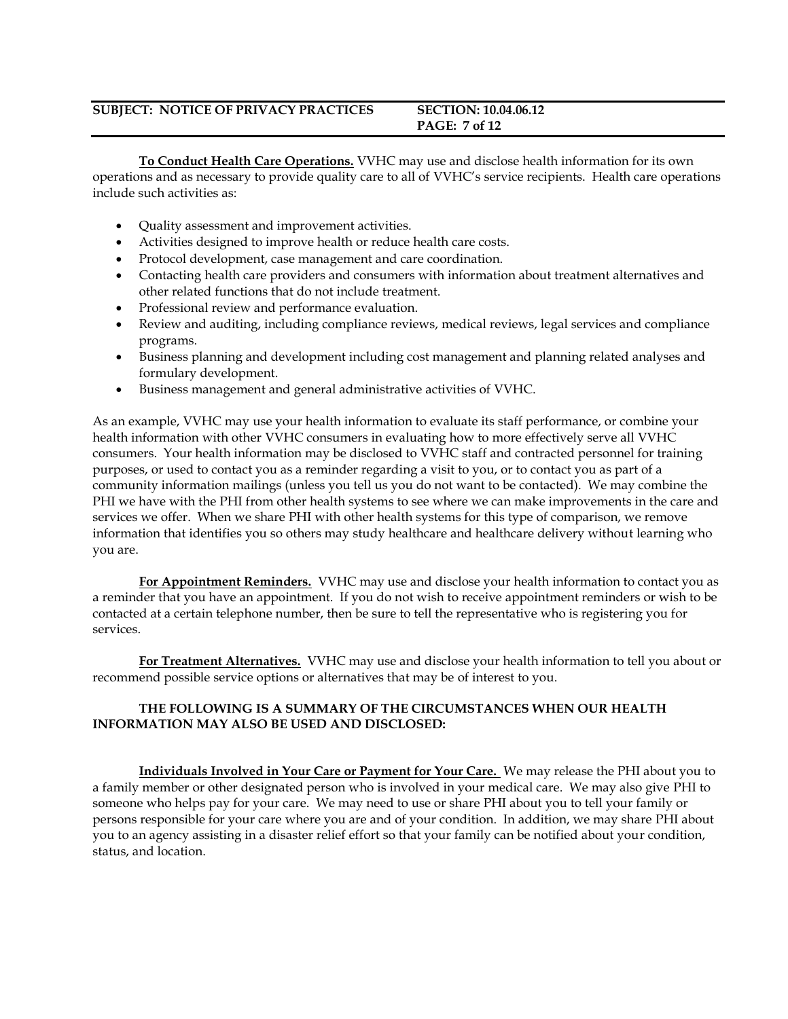**To Conduct Health Care Operations.** VVHC may use and disclose health information for its own operations and as necessary to provide quality care to all of VVHC's service recipients. Health care operations include such activities as:

- Quality assessment and improvement activities.
- Activities designed to improve health or reduce health care costs.
- Protocol development, case management and care coordination.
- Contacting health care providers and consumers with information about treatment alternatives and other related functions that do not include treatment.
- Professional review and performance evaluation.
- Review and auditing, including compliance reviews, medical reviews, legal services and compliance programs.
- Business planning and development including cost management and planning related analyses and formulary development.
- Business management and general administrative activities of VVHC.

As an example, VVHC may use your health information to evaluate its staff performance, or combine your health information with other VVHC consumers in evaluating how to more effectively serve all VVHC consumers. Your health information may be disclosed to VVHC staff and contracted personnel for training purposes, or used to contact you as a reminder regarding a visit to you, or to contact you as part of a community information mailings (unless you tell us you do not want to be contacted). We may combine the PHI we have with the PHI from other health systems to see where we can make improvements in the care and services we offer. When we share PHI with other health systems for this type of comparison, we remove information that identifies you so others may study healthcare and healthcare delivery without learning who you are.

**For Appointment Reminders.** VVHC may use and disclose your health information to contact you as a reminder that you have an appointment. If you do not wish to receive appointment reminders or wish to be contacted at a certain telephone number, then be sure to tell the representative who is registering you for services.

**For Treatment Alternatives.** VVHC may use and disclose your health information to tell you about or recommend possible service options or alternatives that may be of interest to you.

### **THE FOLLOWING IS A SUMMARY OF THE CIRCUMSTANCES WHEN OUR HEALTH INFORMATION MAY ALSO BE USED AND DISCLOSED:**

**Individuals Involved in Your Care or Payment for Your Care.** We may release the PHI about you to a family member or other designated person who is involved in your medical care. We may also give PHI to someone who helps pay for your care. We may need to use or share PHI about you to tell your family or persons responsible for your care where you are and of your condition. In addition, we may share PHI about you to an agency assisting in a disaster relief effort so that your family can be notified about your condition, status, and location.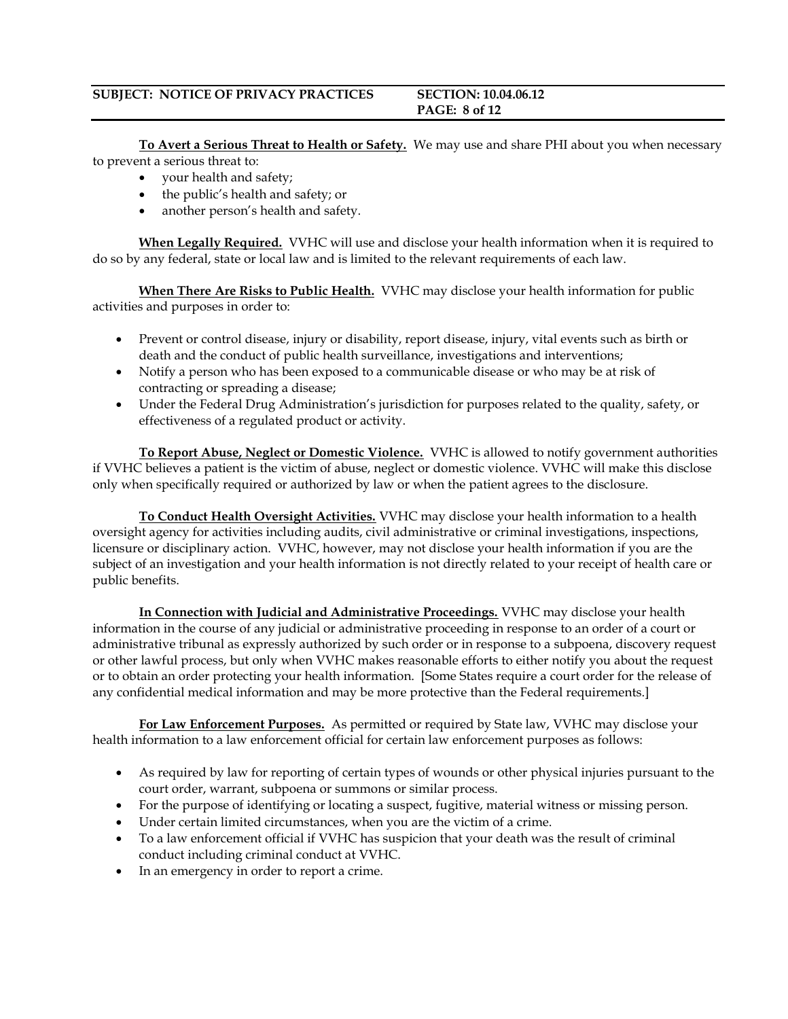**To Avert a Serious Threat to Health or Safety.** We may use and share PHI about you when necessary to prevent a serious threat to:

- your health and safety;
- the public's health and safety; or
- another person's health and safety.

**When Legally Required.** VVHC will use and disclose your health information when it is required to do so by any federal, state or local law and is limited to the relevant requirements of each law.

**When There Are Risks to Public Health.** VVHC may disclose your health information for public activities and purposes in order to:

- Prevent or control disease, injury or disability, report disease, injury, vital events such as birth or death and the conduct of public health surveillance, investigations and interventions;
- Notify a person who has been exposed to a communicable disease or who may be at risk of contracting or spreading a disease;
- Under the Federal Drug Administration's jurisdiction for purposes related to the quality, safety, or effectiveness of a regulated product or activity.

**To Report Abuse, Neglect or Domestic Violence.** VVHC is allowed to notify government authorities if VVHC believes a patient is the victim of abuse, neglect or domestic violence. VVHC will make this disclose only when specifically required or authorized by law or when the patient agrees to the disclosure.

**To Conduct Health Oversight Activities.** VVHC may disclose your health information to a health oversight agency for activities including audits, civil administrative or criminal investigations, inspections, licensure or disciplinary action. VVHC, however, may not disclose your health information if you are the subject of an investigation and your health information is not directly related to your receipt of health care or public benefits.

**In Connection with Judicial and Administrative Proceedings.** VVHC may disclose your health information in the course of any judicial or administrative proceeding in response to an order of a court or administrative tribunal as expressly authorized by such order or in response to a subpoena, discovery request or other lawful process, but only when VVHC makes reasonable efforts to either notify you about the request or to obtain an order protecting your health information. [Some States require a court order for the release of any confidential medical information and may be more protective than the Federal requirements.]

**For Law Enforcement Purposes.** As permitted or required by State law, VVHC may disclose your health information to a law enforcement official for certain law enforcement purposes as follows:

- As required by law for reporting of certain types of wounds or other physical injuries pursuant to the court order, warrant, subpoena or summons or similar process.
- For the purpose of identifying or locating a suspect, fugitive, material witness or missing person.
- Under certain limited circumstances, when you are the victim of a crime.
- To a law enforcement official if VVHC has suspicion that your death was the result of criminal conduct including criminal conduct at VVHC.
- In an emergency in order to report a crime.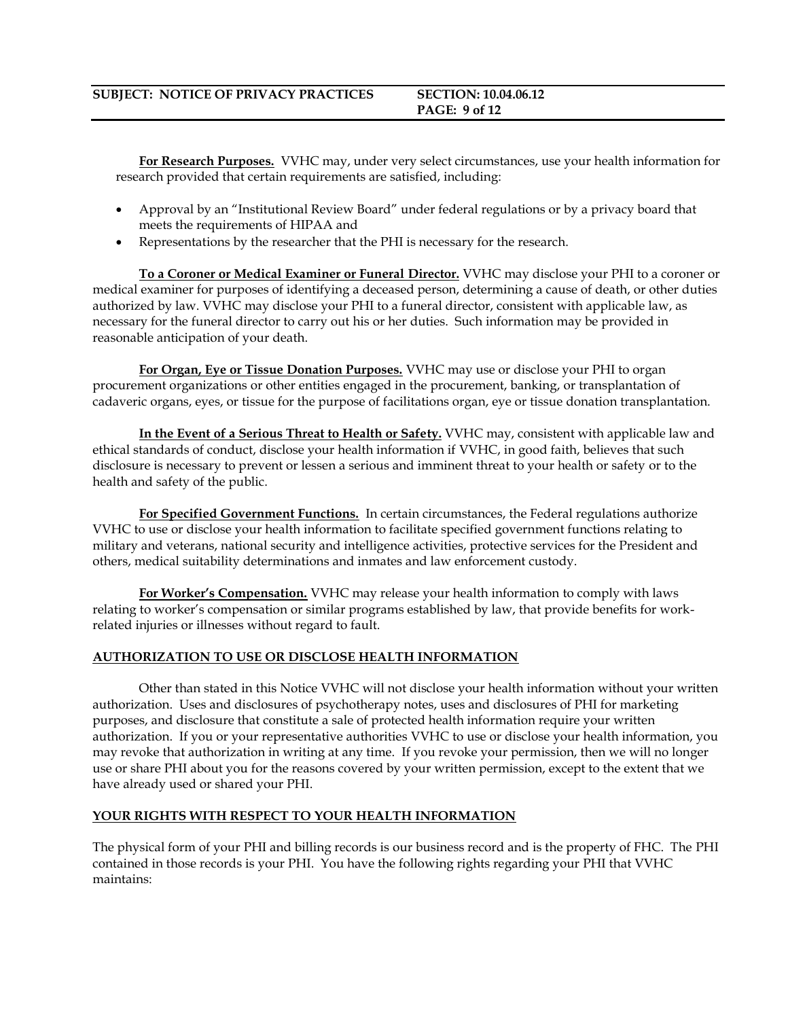**For Research Purposes.** VVHC may, under very select circumstances, use your health information for research provided that certain requirements are satisfied, including:

- Approval by an "Institutional Review Board" under federal regulations or by a privacy board that meets the requirements of HIPAA and
- Representations by the researcher that the PHI is necessary for the research.

**To a Coroner or Medical Examiner or Funeral Director.** VVHC may disclose your PHI to a coroner or medical examiner for purposes of identifying a deceased person, determining a cause of death, or other duties authorized by law. VVHC may disclose your PHI to a funeral director, consistent with applicable law, as necessary for the funeral director to carry out his or her duties. Such information may be provided in reasonable anticipation of your death.

**For Organ, Eye or Tissue Donation Purposes.** VVHC may use or disclose your PHI to organ procurement organizations or other entities engaged in the procurement, banking, or transplantation of cadaveric organs, eyes, or tissue for the purpose of facilitations organ, eye or tissue donation transplantation.

**In the Event of a Serious Threat to Health or Safety.** VVHC may, consistent with applicable law and ethical standards of conduct, disclose your health information if VVHC, in good faith, believes that such disclosure is necessary to prevent or lessen a serious and imminent threat to your health or safety or to the health and safety of the public.

**For Specified Government Functions.** In certain circumstances, the Federal regulations authorize VVHC to use or disclose your health information to facilitate specified government functions relating to military and veterans, national security and intelligence activities, protective services for the President and others, medical suitability determinations and inmates and law enforcement custody.

**For Worker's Compensation.** VVHC may release your health information to comply with laws relating to worker's compensation or similar programs established by law, that provide benefits for workrelated injuries or illnesses without regard to fault.

### **AUTHORIZATION TO USE OR DISCLOSE HEALTH INFORMATION**

Other than stated in this Notice VVHC will not disclose your health information without your written authorization. Uses and disclosures of psychotherapy notes, uses and disclosures of PHI for marketing purposes, and disclosure that constitute a sale of protected health information require your written authorization. If you or your representative authorities VVHC to use or disclose your health information, you may revoke that authorization in writing at any time. If you revoke your permission, then we will no longer use or share PHI about you for the reasons covered by your written permission, except to the extent that we have already used or shared your PHI.

### **YOUR RIGHTS WITH RESPECT TO YOUR HEALTH INFORMATION**

The physical form of your PHI and billing records is our business record and is the property of FHC. The PHI contained in those records is your PHI. You have the following rights regarding your PHI that VVHC maintains: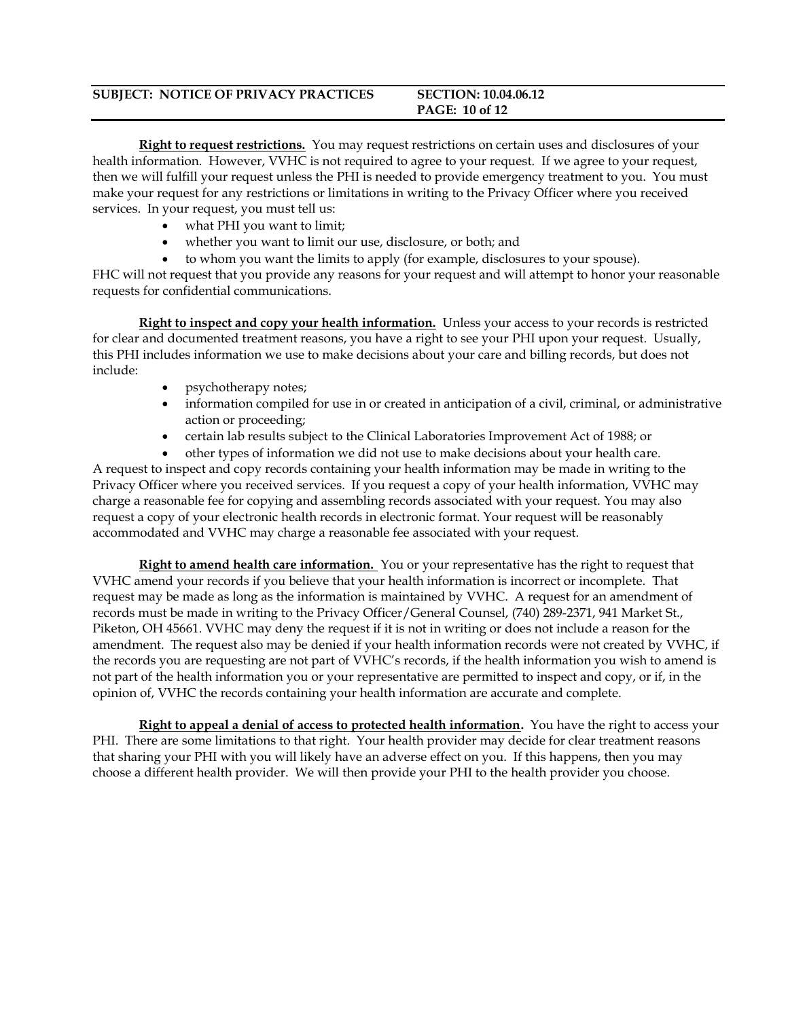### **SUBJECT: NOTICE OF PRIVACY PRACTICES SECTION: 10.04.06.12 PAGE: 10 of 12**

**Right to request restrictions.** You may request restrictions on certain uses and disclosures of your health information. However, VVHC is not required to agree to your request. If we agree to your request, then we will fulfill your request unless the PHI is needed to provide emergency treatment to you. You must make your request for any restrictions or limitations in writing to the Privacy Officer where you received services. In your request, you must tell us:

- what PHI you want to limit;
- whether you want to limit our use, disclosure, or both; and
- to whom you want the limits to apply (for example, disclosures to your spouse).

FHC will not request that you provide any reasons for your request and will attempt to honor your reasonable requests for confidential communications.

**Right to inspect and copy your health information.** Unless your access to your records is restricted for clear and documented treatment reasons, you have a right to see your PHI upon your request. Usually, this PHI includes information we use to make decisions about your care and billing records, but does not include:

- psychotherapy notes;
- information compiled for use in or created in anticipation of a civil, criminal, or administrative action or proceeding;
- certain lab results subject to the Clinical Laboratories Improvement Act of 1988; or

 other types of information we did not use to make decisions about your health care. A request to inspect and copy records containing your health information may be made in writing to the Privacy Officer where you received services. If you request a copy of your health information, VVHC may charge a reasonable fee for copying and assembling records associated with your request. You may also request a copy of your electronic health records in electronic format. Your request will be reasonably accommodated and VVHC may charge a reasonable fee associated with your request.

**Right to amend health care information.** You or your representative has the right to request that VVHC amend your records if you believe that your health information is incorrect or incomplete. That request may be made as long as the information is maintained by VVHC. A request for an amendment of records must be made in writing to the Privacy Officer/General Counsel, (740) 289-2371, 941 Market St., Piketon, OH 45661. VVHC may deny the request if it is not in writing or does not include a reason for the amendment. The request also may be denied if your health information records were not created by VVHC, if the records you are requesting are not part of VVHC's records, if the health information you wish to amend is not part of the health information you or your representative are permitted to inspect and copy, or if, in the opinion of, VVHC the records containing your health information are accurate and complete.

**Right to appeal a denial of access to protected health information.** You have the right to access your PHI. There are some limitations to that right. Your health provider may decide for clear treatment reasons that sharing your PHI with you will likely have an adverse effect on you. If this happens, then you may choose a different health provider. We will then provide your PHI to the health provider you choose.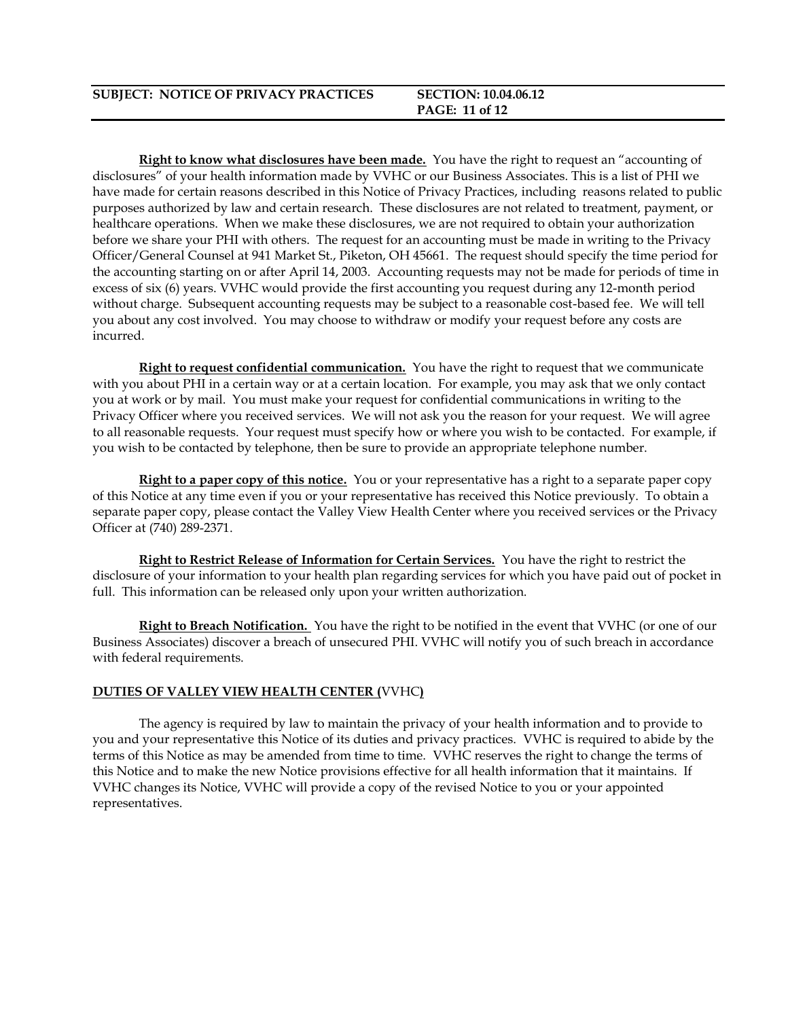### **SUBJECT: NOTICE OF PRIVACY PRACTICES SECTION: 10.04.06.12 PAGE: 11 of 12**

**Right to know what disclosures have been made.** You have the right to request an "accounting of disclosures" of your health information made by VVHC or our Business Associates. This is a list of PHI we have made for certain reasons described in this Notice of Privacy Practices, including reasons related to public purposes authorized by law and certain research. These disclosures are not related to treatment, payment, or healthcare operations. When we make these disclosures, we are not required to obtain your authorization before we share your PHI with others. The request for an accounting must be made in writing to the Privacy Officer/General Counsel at 941 Market St., Piketon, OH 45661. The request should specify the time period for the accounting starting on or after April 14, 2003. Accounting requests may not be made for periods of time in excess of six (6) years. VVHC would provide the first accounting you request during any 12-month period without charge. Subsequent accounting requests may be subject to a reasonable cost-based fee. We will tell you about any cost involved. You may choose to withdraw or modify your request before any costs are incurred.

**Right to request confidential communication.** You have the right to request that we communicate with you about PHI in a certain way or at a certain location. For example, you may ask that we only contact you at work or by mail. You must make your request for confidential communications in writing to the Privacy Officer where you received services. We will not ask you the reason for your request. We will agree to all reasonable requests. Your request must specify how or where you wish to be contacted. For example, if you wish to be contacted by telephone, then be sure to provide an appropriate telephone number.

**Right to a paper copy of this notice.** You or your representative has a right to a separate paper copy of this Notice at any time even if you or your representative has received this Notice previously. To obtain a separate paper copy, please contact the Valley View Health Center where you received services or the Privacy Officer at (740) 289-2371.

**Right to Restrict Release of Information for Certain Services.** You have the right to restrict the disclosure of your information to your health plan regarding services for which you have paid out of pocket in full. This information can be released only upon your written authorization.

**Right to Breach Notification.** You have the right to be notified in the event that VVHC (or one of our Business Associates) discover a breach of unsecured PHI. VVHC will notify you of such breach in accordance with federal requirements.

### **DUTIES OF VALLEY VIEW HEALTH CENTER (**VVHC**)**

The agency is required by law to maintain the privacy of your health information and to provide to you and your representative this Notice of its duties and privacy practices. VVHC is required to abide by the terms of this Notice as may be amended from time to time. VVHC reserves the right to change the terms of this Notice and to make the new Notice provisions effective for all health information that it maintains. If VVHC changes its Notice, VVHC will provide a copy of the revised Notice to you or your appointed representatives.